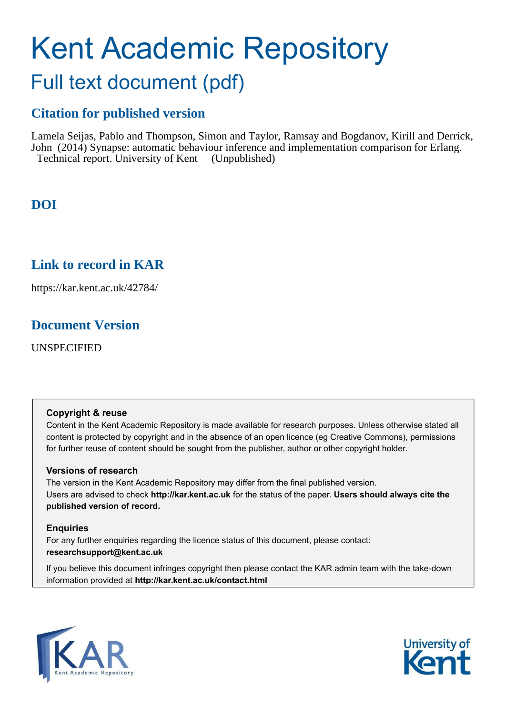# Kent Academic Repository

## Full text document (pdf)

## **Citation for published version**

Lamela Seijas, Pablo and Thompson, Simon and Taylor, Ramsay and Bogdanov, Kirill and Derrick, John (2014) Synapse: automatic behaviour inference and implementation comparison for Erlang. Technical report. University of Kent (Unpublished)

## **DOI**

## **Link to record in KAR**

https://kar.kent.ac.uk/42784/

## **Document Version**

UNSPECIFIED

#### **Copyright & reuse**

Content in the Kent Academic Repository is made available for research purposes. Unless otherwise stated all content is protected by copyright and in the absence of an open licence (eg Creative Commons), permissions for further reuse of content should be sought from the publisher, author or other copyright holder.

#### **Versions of research**

The version in the Kent Academic Repository may differ from the final published version. Users are advised to check **http://kar.kent.ac.uk** for the status of the paper. **Users should always cite the published version of record.**

#### **Enquiries**

For any further enquiries regarding the licence status of this document, please contact: **researchsupport@kent.ac.uk**

If you believe this document infringes copyright then please contact the KAR admin team with the take-down information provided at **http://kar.kent.ac.uk/contact.html**



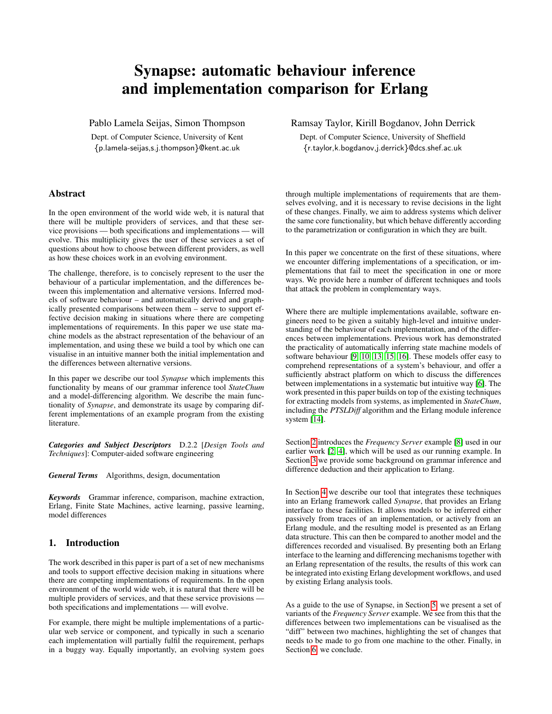### Synapse: automatic behaviour inference and implementation comparison for Erlang

<span id="page-1-0"></span>Pablo Lamela Seijas, Simon Thompson

Dept. of Computer Science, University of Kent {p.lamela-seijas,s.j.thompson}@kent.ac.uk

#### Abstract

In the open environment of the world wide web, it is natural that there will be multiple providers of services, and that these service provisions — both specifications and implementations — will evolve. This multiplicity gives the user of these services a set of questions about how to choose between different providers, as well as how these choices work in an evolving environment.

<span id="page-1-1"></span>The challenge, therefore, is to concisely represent to the user the behaviour of a particular implementation, and the differences between this implementation and alternative versions. Inferred models of software behaviour – and automatically derived and graphically presented comparisons between them – serve to support effective decision making in situations where there are competing implementations of requirements. In this paper we use state machine models as the abstract representation of the behaviour of an implementation, and using these we build a tool by which one can visualise in an intuitive manner both the initial implementation and the differences between alternative versions.

In this paper we describe our tool *Synapse* which implements this functionality by means of our grammar inference tool *StateChum* and a model-differencing algorithm. We describe the main functionality of *Synapse*, and demonstrate its usage by comparing different implementations of an example program from the existing literature.

*Categories and Subject Descriptors* D.2.2 [*Design Tools and Techniques*]: Computer-aided software engineering

*General Terms* Algorithms, design, documentation

*Keywords* Grammar inference, comparison, machine extraction, Erlang, Finite State Machines, active learning, passive learning, model differences

#### 1. Introduction

The work described in this paper is part of a set of new mechanisms and tools to support effective decision making in situations where there are competing implementations of requirements. In the open environment of the world wide web, it is natural that there will be multiple providers of services, and that these service provisions both specifications and implementations — will evolve.

For example, there might be multiple implementations of a particular web service or component, and typically in such a scenario each implementation will partially fulfil the requirement, perhaps in a buggy way. Equally importantly, an evolving system goes Ramsay Taylor, Kirill Bogdanov, John Derrick

Dept. of Computer Science, University of Sheffield {r.taylor,k.bogdanov,j.derrick}@dcs.shef.ac.uk

through multiple implementations of requirements that are themselves evolving, and it is necessary to revise decisions in the light of these changes. Finally, we aim to address systems which deliver the same core functionality, but which behave differently according to the parametrization or configuration in which they are built.

In this paper we concentrate on the first of these situations, where we encounter differing implementations of a specification, or implementations that fail to meet the specification in one or more ways. We provide here a number of different techniques and tools that attack the problem in complementary ways.

Where there are multiple implementations available, software engineers need to be given a suitably high-level and intuitive understanding of the behaviour of each implementation, and of the differences between implementations. Previous work has demonstrated the practicality of automatically inferring state machine models of software behaviour [\[9,](#page-11-0) [10,](#page-11-1) [13,](#page-11-2) [15,](#page-11-3) [16\]](#page-11-4). These models offer easy to comprehend representations of a system's behaviour, and offer a sufficiently abstract platform on which to discuss the differences between implementations in a systematic but intuitive way [\[6\]](#page-11-5). The work presented in this paper builds on top of the existing techniques for extracting models from systems, as implemented in *StateChum*, including the *PTSLDiff* algorithm and the Erlang module inference system [\[14\]](#page-11-6).

Section [2](#page-1-0) introduces the *Frequency Server* example [\[8\]](#page-11-7) used in our earlier work [\[2,](#page-11-8) [4\]](#page-11-9), which will be used as our running example. In Section [3](#page-2-0) we provide some background on grammar inference and difference deduction and their application to Erlang.

In Section [4](#page-4-0) we describe our tool that integrates these techniques into an Erlang framework called *Synapse*, that provides an Erlang interface to these facilities. It allows models to be inferred either passively from traces of an implementation, or actively from an Erlang module, and the resulting model is presented as an Erlang data structure. This can then be compared to another model and the differences recorded and visualised. By presenting both an Erlang interface to the learning and differencing mechanisms together with an Erlang representation of the results, the results of this work can be integrated into existing Erlang development workflows, and used by existing Erlang analysis tools.

As a guide to the use of Synapse, in Section [5,](#page-6-0) we present a set of variants of the *Frequency Server* example. We see from this that the differences between two implementations can be visualised as the "diff" between two machines, highlighting the set of changes that needs to be made to go from one machine to the other. Finally, in Section [6,](#page-10-0) we conclude.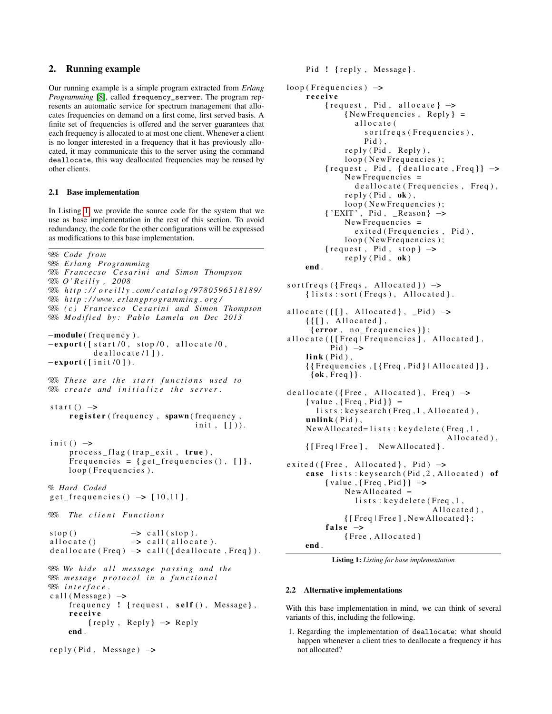#### 2. Running example

Our running example is a simple program extracted from *Erlang Programming* [\[8\]](#page-11-7), called frequency\_server. The program represents an automatic service for spectrum management that allocates frequencies on demand on a first come, first served basis. A finite set of frequencies is offered and the server guarantees that each frequency is allocated to at most one client. Whenever a client is no longer interested in a frequency that it has previously allocated, it may communicate this to the server using the command deallocate, this way deallocated frequencies may be reused by other clients.

#### 2.1 Base implementation

In Listing [1,](#page-1-1) we provide the source code for the system that we use as base implementation in the rest of this section. To avoid redundancy, the code for the other configurations will be expressed as modifications to this base implementation.

```
%%% Code from
%% E rl a n g Programming
%% F r a n c e c s o C e s a r i n i and Simon Thompson
%% O ' R e i l l y , 2008
%% h t t p : / / o r e i l l y . com / c a t a l o g / 9 7 8 0 5 9 6 5 1 8 1 8 9/
%% h t t p : / / www . e rl a n g p r o g r ammi n g . o r g /
%% ( c ) F r a n c e s c o C e s a r i n i and Simon Thompson
% Modified by: Pablo Lamela on Dec 2013
–module(frequency).
-export ([ start /0, stop / 0, allocate / 0,
           deallocate(1]).
-export ([i \nvert i \nvert 0]).
\% These are the start functions used to
%% create and initialize the server.
start () \rightarrowregister (frequency, spawn (frequency,
                                      init, [])).
init() \rightarrowprocess_flag(trap_exit, true),
     Frequencies = \{ get\_frequency( ), [ ] \},
     loop (Frequencies).
% Hard Coded
get_frequencies() \rightarrow [10,11].% The client Functions
stop() \longrightarrow call (stop).allocate ( ) \rightarrow call (allocate).
deallocate (Freq) \rightarrow call ({deallocate, Freq}).
\% We hide all message passing and the
%% me s s a ge p r o t o c o l i n a f u n c t i o n a l
```

```
%% i n t e r f a c e .
call (Message) \rightarrowfrequency ! {request, self(), Message},
     receive
           \{ reply, Reply\} \rightarrow Replyend .
```
reply (Pid, Message)  $\rightarrow$ 

```
loop (Frequencies) \rightarrowreceive
          {request, Pid, allocate} \rightarrow\{NewFrequencies, Reply\} =allocate (
                    s ort freq s (Frequencies),
                    Pid)
               reply (Pid, Reply),
               loop (New Frequencies);
          {request, Pid, {deallocate, Freq}} \rightarrowNew Frequencies =de allocate (Frequencies, Freq),
               reply (Pid, ok),loop (New Frequencies);
          \{ 'EXIT', Pid, \_\aleph{Reason} \rightarrow \}NewFrequency =exited (Frequencies, Pid),
               loop (New Frequencies);
          {request, Pid, stop} \rightarrowreply (Pid, ok)end .
s ort freqs ({Fregs, All ocated}) \rightarrow{lists: sort(Freqs), Allocated}.allocate ({ [ }], Allocated }, _Pid) \rightarrow{ [ }[], Allocated },
      {error, no_frequencies};
allocate ({ [Freq | Frequencies ], Allocated },
           Pid) \rightarrow\mathbf{link}(\mathbf{Pid}),
     \{ \{Frequencies, [\{Freq, Pid\} | Allocated\} \},\{ \mathbf{ok}, \mathsf{Freq} \}.
deadlocate({Free, Allocated}, Freq) \rightarrow\{ value, \{Freq, Pid\} \} =
       lists: keysearch (Freq, 1, Allocated),
     unlink (Pid),
     NewAllocated = 1 ists: keydelete (Freq, 1,
                                          Allocated),
     { [Freq | Free], NewAllocated }.exited ({Free, Allocated}, Pid \rightarrowcase lists: keysearch (Pid, 2, Allocated) of
          \{ value, \{Freq, Pid\} \rightarrowNewAllocated =lists: keydelete (Freq, 1,
                                      Allocated),
               { [Freq | Free], NewAllocated };
          false \rightarrow
```
Pid ! { reply, Message}.

```
{Free, All ocated}
```

```
end .
```
Listing 1: *Listing for base implementation*

#### 2.2 Alternative implementations

With this base implementation in mind, we can think of several variants of this, including the following.

1. Regarding the implementation of deallocate: what should happen whenever a client tries to deallocate a frequency it has not allocated?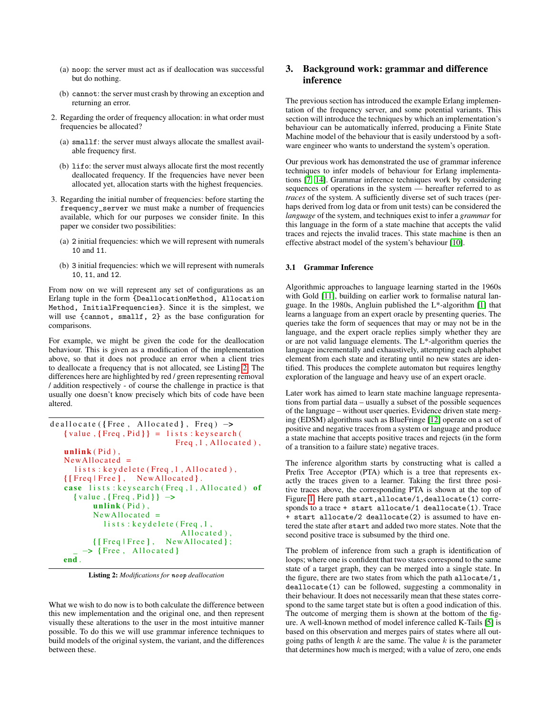- <span id="page-3-0"></span>(a) noop: the server must act as if deallocation was successful but do nothing.
- (b) cannot: the server must crash by throwing an exception and returning an error.
- 2. Regarding the order of frequency allocation: in what order must frequencies be allocated?
	- (a) smallf: the server must always allocate the smallest available frequency first.
	- (b) lifo: the server must always allocate first the most recently deallocated frequency. If the frequencies have never been allocated yet, allocation starts with the highest frequencies.
- 3. Regarding the initial number of frequencies: before starting the frequency\_server we must make a number of frequencies available, which for our purposes we consider finite. In this paper we consider two possibilities:
	- (a) 2 initial frequencies: which we will represent with numerals 10 and 11.
	- (b) 3 initial frequencies: which we will represent with numerals 10, 11, and 12.

From now on we will represent any set of configurations as an Erlang tuple in the form {DeallocationMethod, Allocation Method, InitialFrequencies}. Since it is the simplest, we will use {cannot, smallf, 2} as the base configuration for comparisons.

For example, we might be given the code for the deallocation behaviour. This is given as a modification of the implementation above, so that it does not produce an error when a client tries to deallocate a frequency that is not allocated, see Listing [2.](#page-2-1) The differences here are highlighted by red / green representing removal / addition respectively - of course the challenge in practice is that usually one doesn't know precisely which bits of code have been altered.

```
deadlocate({Free, Allocated}, Freq) \rightarrow{value, {Freq, Pid}} = lists:keys\text{.}Freq, 1, All ocated),unlink(Pid),
   NewAllocated =lists: keydelete (Freq, 1, Allocated),
   { [Freq | Free], \t NewAllocated }.case lists: keysearch (Freq, 1, Allocated) of
     \{ value, \{Freq, Pid\} \rightarrowunlink(Pid),
          NewAllocated =lists: keydelete (Freq, 1,
                                Allocated),
          { [Freq | Free], \t NewAllocated };
        \rightarrow {Free, Allocated}
   end .
```
Listing 2: *Modifications for* noop *deallocation*

What we wish to do now is to both calculate the difference between this new implementation and the original one, and then represent visually these alterations to the user in the most intuitive manner possible. To do this we will use grammar inference techniques to build models of the original system, the variant, and the differences between these.

#### 3. Background work: grammar and difference inference

The previous section has introduced the example Erlang implementation of the frequency server, and some potential variants. This section will introduce the techniques by which an implementation's behaviour can be automatically inferred, producing a Finite State Machine model of the behaviour that is easily understood by a software engineer who wants to understand the system's operation.

Our previous work has demonstrated the use of grammar inference techniques to infer models of behaviour for Erlang implementations [\[7,](#page-11-10) [14\]](#page-11-6). Grammar inference techniques work by considering sequences of operations in the system — hereafter referred to as *traces* of the system. A sufficiently diverse set of such traces (perhaps derived from log data or from unit tests) can be considered the *language* of the system, and techniques exist to infer a *grammar* for this language in the form of a state machine that accepts the valid traces and rejects the invalid traces. This state machine is then an effective abstract model of the system's behaviour [\[10\]](#page-11-1).

#### 3.1 Grammar Inference

Algorithmic approaches to language learning started in the 1960s with Gold [\[11\]](#page-11-11), building on earlier work to formalise natural language. In the 1980s, Angluin published the L\*-algorithm [\[1\]](#page-11-12) that learns a language from an expert oracle by presenting queries. The queries take the form of sequences that may or may not be in the language, and the expert oracle replies simply whether they are or are not valid language elements. The L\*-algorithm queries the language incrementally and exhaustively, attempting each alphabet element from each state and iterating until no new states are identified. This produces the complete automaton but requires lengthy exploration of the language and heavy use of an expert oracle.

Later work has aimed to learn state machine language representations from partial data – usually a subset of the possible sequences of the language – without user queries. Evidence driven state merging (EDSM) algorithms such as BlueFringe [\[12\]](#page-11-13) operate on a set of positive and negative traces from a system or language and produce a state machine that accepts positive traces and rejects (in the form of a transition to a failure state) negative traces.

<span id="page-3-1"></span>The inference algorithm starts by constructing what is called a Prefix Tree Acceptor (PTA) which is a tree that represents exactly the traces given to a learner. Taking the first three positive traces above, the corresponding PTA is shown at the top of Figure [1.](#page-3-0) Here path start,allocate/1,deallocate(1) corresponds to a trace + start allocate/1 deallocate(1). Trace + start allocate/2 deallocate(2) is assumed to have entered the state after start and added two more states. Note that the second positive trace is subsumed by the third one.

The problem of inference from such a graph is identification of loops; where one is confident that two states correspond to the same state of a target graph, they can be merged into a single state. In the figure, there are two states from which the path allocate/1, deallocate(1) can be followed, suggesting a commonality in their behaviour. It does not necessarily mean that these states correspond to the same target state but is often a good indication of this. The outcome of merging them is shown at the bottom of the figure. A well-known method of model inference called K-Tails [\[5\]](#page-11-14) is based on this observation and merges pairs of states where all outgoing paths of length  $k$  are the same. The value  $k$  is the parameter that determines how much is merged; with a value of zero, one ends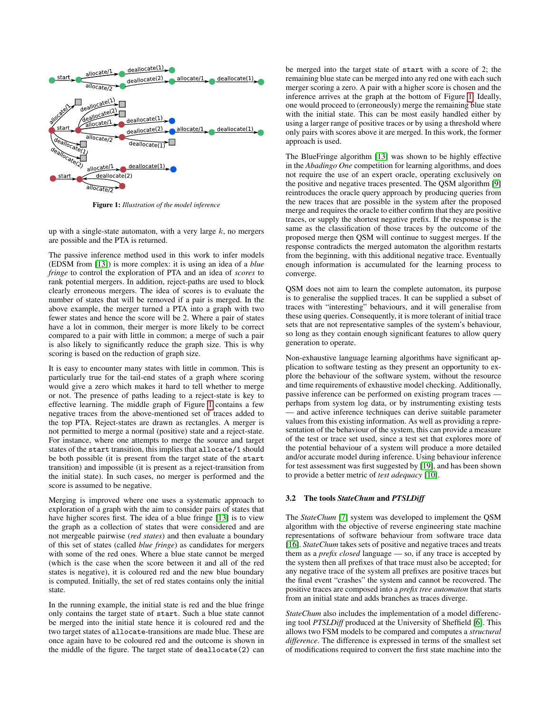

Figure 1: *Illustration of the model inference*

up with a single-state automaton, with a very large  $k$ , no mergers are possible and the PTA is returned.

The passive inference method used in this work to infer models (EDSM from [\[13\]](#page-11-2)) is more complex: it is using an idea of a *blue fringe* to control the exploration of PTA and an idea of *scores* to rank potential mergers. In addition, reject-paths are used to block clearly erroneous mergers. The idea of scores is to evaluate the number of states that will be removed if a pair is merged. In the above example, the merger turned a PTA into a graph with two fewer states and hence the score will be 2. Where a pair of states have a lot in common, their merger is more likely to be correct compared to a pair with little in common; a merge of such a pair is also likely to significantly reduce the graph size. This is why scoring is based on the reduction of graph size.

It is easy to encounter many states with little in common. This is particularly true for the tail-end states of a graph where scoring would give a zero which makes it hard to tell whether to merge or not. The presence of paths leading to a reject-state is key to effective learning. The middle graph of Figure [1](#page-3-0) contains a few negative traces from the above-mentioned set of traces added to the top PTA. Reject-states are drawn as rectangles. A merger is not permitted to merge a normal (positive) state and a reject-state. For instance, where one attempts to merge the source and target states of the start transition, this implies that allocate/1 should be both possible (it is present from the target state of the start transition) and impossible (it is present as a reject-transition from the initial state). In such cases, no merger is performed and the score is assumed to be negative.

<span id="page-4-0"></span>Merging is improved where one uses a systematic approach to exploration of a graph with the aim to consider pairs of states that have higher scores first. The idea of a blue fringe [\[13\]](#page-11-2) is to view the graph as a collection of states that were considered and are not mergeable pairwise (*red states*) and then evaluate a boundary of this set of states (called *blue fringe*) as candidates for mergers with some of the red ones. Where a blue state cannot be merged (which is the case when the score between it and all of the red states is negative), it is coloured red and the new blue boundary is computed. Initially, the set of red states contains only the initial state.

In the running example, the initial state is red and the blue fringe only contains the target state of start. Such a blue state cannot be merged into the initial state hence it is coloured red and the two target states of allocate-transitions are made blue. These are once again have to be coloured red and the outcome is shown in the middle of the figure. The target state of deallocate(2) can be merged into the target state of start with a score of 2; the remaining blue state can be merged into any red one with each such merger scoring a zero. A pair with a higher score is chosen and the inference arrives at the graph at the bottom of Figure [1.](#page-3-0) Ideally, one would proceed to (erroneously) merge the remaining blue state with the initial state. This can be most easily handled either by using a larger range of positive traces or by using a threshold where only pairs with scores above it are merged. In this work, the former approach is used.

The BlueFringe algorithm [\[13\]](#page-11-2) was shown to be highly effective in the *Abadingo One* competition for learning algorithms, and does not require the use of an expert oracle, operating exclusively on the positive and negative traces presented. The QSM algorithm [\[9\]](#page-11-0) reintroduces the oracle query approach by producing queries from the new traces that are possible in the system after the proposed merge and requires the oracle to either confirm that they are positive traces, or supply the shortest negative prefix. If the response is the same as the classification of those traces by the outcome of the proposed merge then QSM will continue to suggest merges. If the response contradicts the merged automaton the algorithm restarts from the beginning, with this additional negative trace. Eventually enough information is accumulated for the learning process to converge.

QSM does not aim to learn the complete automaton, its purpose is to generalise the supplied traces. It can be supplied a subset of traces with "interesting" behaviours, and it will generalise from these using queries. Consequently, it is more tolerant of initial trace sets that are not representative samples of the system's behaviour, so long as they contain enough significant features to allow query generation to operate.

Non-exhaustive language learning algorithms have significant application to software testing as they present an opportunity to explore the behaviour of the software system, without the resource and time requirements of exhaustive model checking. Additionally, passive inference can be performed on existing program traces perhaps from system log data, or by instrumenting existing tests — and active inference techniques can derive suitable parameter values from this existing information. As well as providing a representation of the behaviour of the system, this can provide a measure of the test or trace set used, since a test set that explores more of the potential behaviour of a system will produce a more detailed and/or accurate model during inference. Using behaviour inference for test assessment was first suggested by [\[19\]](#page-11-15), and has been shown to provide a better metric of *test adequacy* [\[10\]](#page-11-1).

#### 3.2 The tools *StateChum* and *PTSLDiff*

The *StateChum* [\[7\]](#page-11-10) system was developed to implement the QSM algorithm with the objective of reverse engineering state machine representations of software behaviour from software trace data [\[16\]](#page-11-4). *StateChum* takes sets of positive and negative traces and treats them as a *prefix closed* language — so, if any trace is accepted by the system then all prefixes of that trace must also be accepted; for any negative trace of the system all prefixes are positive traces but the final event "crashes" the system and cannot be recovered. The positive traces are composed into a *prefix tree automaton* that starts from an initial state and adds branches as traces diverge.

*StateChum* also includes the implementation of a model differencing tool *PTSLDiff* produced at the University of Sheffield [\[6\]](#page-11-5). This allows two FSM models to be compared and computes a *structural difference*. The difference is expressed in terms of the smallest set of modifications required to convert the first state machine into the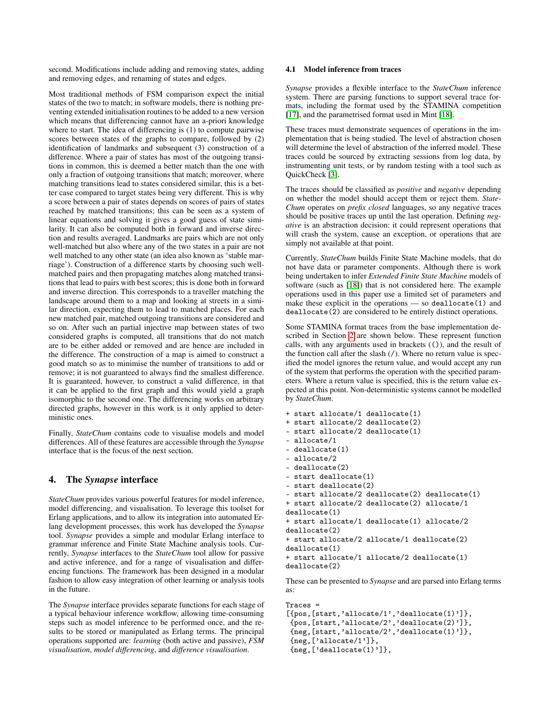second. Modifications include adding and removing states, adding and removing edges, and renaming of states and edges.

Most traditional methods of FSM comparison expect the initial states of the two to match; in software models, there is nothing preventing extended initialisation routines to be added to a new version which means that differencing cannot have an a-priori knowledge where to start. The idea of differencing is (1) to compute pairwise scores between states of the graphs to compare, followed by (2) identification of landmarks and subsequent (3) construction of a difference. Where a pair of states has most of the outgoing transitions in common, this is deemed a better match than the one with only a fraction of outgoing transitions that match; moreover, where matching transitions lead to states considered similar, this is a better case compared to target states being very different. This is why a score between a pair of states depends on scores of pairs of states reached by matched transitions; this can be seen as a system of linear equations and solving it gives a good guess of state similarity. It can also be computed both in forward and inverse direction and results averaged. Landmarks are pairs which are not only well-matched but also where any of the two states in a pair are not well matched to any other state (an idea also known as 'stable marriage'). Construction of a difference starts by choosing such wellmatched pairs and then propagating matches along matched transitions that lead to pairs with best scores; this is done both in forward and inverse direction. This corresponds to a traveller matching the landscape around them to a map and looking at streets in a similar direction, expecting them to lead to matched places. For each new matched pair, matched outgoing transitions are considered and so on. After such an partial injective map between states of two considered graphs is computed, all transitions that do not match are to be either added or removed and are hence are included in the difference. The construction of a map is aimed to construct a good match so as to minimise the number of transitions to add or remove; it is not guaranteed to always find the smallest difference. It is guaranteed, however, to construct a valid difference, in that it can be applied to the first graph and this would yield a graph isomorphic to the second one. The differencing works on arbitrary directed graphs, however in this work is it only applied to deterministic ones.

Finally, *StateChum* contains code to visualise models and model differences. All of these features are accessible through the *Synapse* interface that is the focus of the next section.

#### 4. The *Synapse* interface

*StateChum* provides various powerful features for model inference, model differencing, and visualisation. To leverage this toolset for Erlang applications, and to allow its integration into automated Erlang development processes, this work has developed the *Synapse* tool. *Synapse* provides a simple and modular Erlang interface to grammar inference and Finite State Machine analysis tools. Currently, *Synapse* interfaces to the *StateChum* tool allow for passive and active inference, and for a range of visualisation and differencing functions. The framework has been designed in a modular fashion to allow easy integration of other learning or analysis tools in the future.

The *Synapse* interface provides separate functions for each stage of a typical behaviour inference workflow, allowing time-consuming steps such as model inference to be performed once, and the results to be stored or manipulated as Erlang terms. The principal operations supported are: *learning* (both active and passive), *FSM visualisation*, *model differencing*, and *difference visualisation*.

#### 4.1 Model inference from traces

*Synapse* provides a flexible interface to the *StateChum* inference system. There are parsing functions to support several trace formats, including the format used by the STAMINA competition [\[17\]](#page-11-16), and the parametrised format used in Mint [\[18\]](#page-11-17).

These traces must demonstrate sequences of operations in the implementation that is being studied. The level of abstraction chosen will determine the level of abstraction of the inferred model. These traces could be sourced by extracting sessions from log data, by instrumenting unit tests, or by random testing with a tool such as QuickCheck [\[3\]](#page-11-18).

The traces should be classified as *positive* and *negative* depending on whether the model should accept them or reject them. *State-Chum* operates on *prefix closed* languages, so any negative traces should be positive traces up until the last operation. Defining *negative* is an abstraction decision: it could represent operations that will crash the system, cause an exception, or operations that are simply not available at that point.

Currently, *StateChum* builds Finite State Machine models, that do not have data or parameter components. Although there is work being undertaken to infer *Extended Finite State Machine* models of software (such as [\[18\]](#page-11-17)) that is not considered here. The example operations used in this paper use a limited set of parameters and make these explicit in the operations — so deallocate(1) and deallocate(2) are considered to be entirely distinct operations.

Some STAMINA format traces from the base implementation described in Section [2](#page-1-0) are shown below. These represent function calls, with any arguments used in brackets (()), and the result of the function call after the slash  $($   $/$ ). Where no return value is specified the model ignores the return value, and would accept any run of the system that performs the operation with the specified parameters. Where a return value is specified, this is the return value expected at this point. Non-deterministic systems cannot be modelled by *StateChum*.

- + start allocate/1 deallocate(1)
- + start allocate/2 deallocate(2)
- start allocate/2 deallocate(1)
- allocate/1
- deallocate(1)
- allocate/2
- deallocate(2)
- start deallocate(1)
- start deallocate(2)
- start allocate/2 deallocate(2) deallocate(1) + start allocate/2 deallocate(2) allocate/1

```
deallocate(1)
```

```
+ start allocate/1 deallocate(1) allocate/2
deallocate(2)
```

```
+ start allocate/2 allocate/1 deallocate(2)
deallocate(1)
```

```
+ start allocate/1 allocate/2 deallocate(1)
deallocate(2)
```
These can be presented to *Synapse* and are parsed into Erlang terms as:

```
Traces =
[{pos, [start,'allocate/1','deallocate(1)']},
 {pos,[start,'allocate/2','deallocate(2)']},
 {neg,[start,'allocate/2','deallocate(1)']},
{neg,['allocate/1']},
 {neg,['deallocate(1)']},
```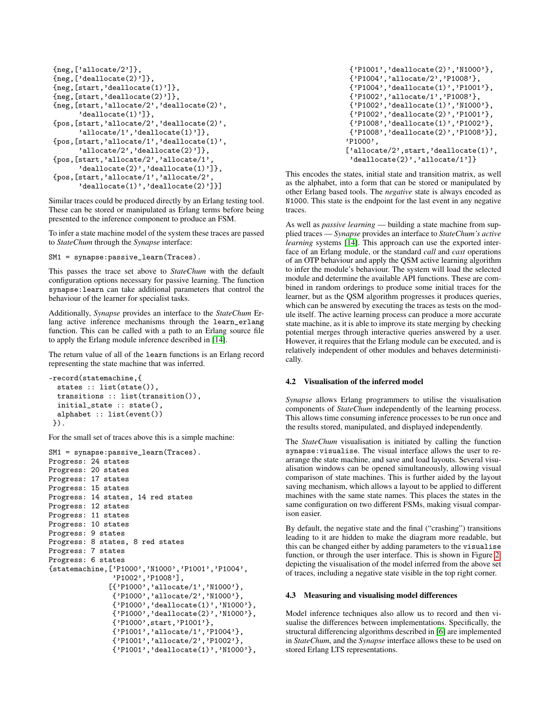```
{neg,['allocate/2']},
{neg,[\text{'deadlocate(2)'}]},{neg,[start,'deallocate(1)']},
{neg,[start,'deallocate(2)']},
{neg,[start,'allocate/2','deallocate(2)',
      'deallocate(1)']},
{pos,[start,'allocate/2','deallocate(2)',
      'allocate/1','deallocate(1)']},
{pos,[start,'allocate/1','deallocate(1)',
      'allocate/2','deallocate(2)']},
{pos,[start,'allocate/2','allocate/1',
      'deallocate(2)','deallocate(1)']},
{pos,[start,'allocate/1','allocate/2',
      'deallocate(1)','deallocate(2)']}]
```
Similar traces could be produced directly by an Erlang testing tool. These can be stored or manipulated as Erlang terms before being presented to the inference component to produce an FSM.

To infer a state machine model of the system these traces are passed to *StateChum* through the *Synapse* interface:

SM1 = synapse:passive\_learn(Traces).

This passes the trace set above to *StateChum* with the default configuration options necessary for passive learning. The function synapse:learn can take additional parameters that control the behaviour of the learner for specialist tasks.

Additionally, *Synapse* provides an interface to the *StateChum* Erlang active inference mechanisms through the learn\_erlang function. This can be called with a path to an Erlang source file to apply the Erlang module inference described in [\[14\]](#page-11-6).

The return value of all of the learn functions is an Erlang record representing the state machine that was inferred.

```
-record(statemachine,{
 states :: list(state()),
 transitions :: list(transition()),
 initial_state :: state(),
 alphabet :: list(event())
}).
```
For the small set of traces above this is a simple machine:

```
SM1 = synapse:passive_learn(Traces).
Progress: 24 states
Progress: 20 states
Progress: 17 states
Progress: 15 states
Progress: 14 states, 14 red states
Progress: 12 states
Progress: 11 states
Progress: 10 states
Progress: 9 states
Progress: 8 states, 8 red states
Progress: 7 states
Progress: 6 states
{statemachine,['P1000','N1000','P1001','P1004',
               'P1002','P1008'],
              [{'P1000','allocate/1','N1000'},
               {'P1000','allocate/2','N1000'},
               {'P1000','deallocate(1)','N1000'},
               {'P1000','deallocate(2)','N1000'},
               {'P1000',start,'P1001'},
               {'P1001','allocate/1','P1004'},
               {'P1001','allocate/2','P1002'},
               {'P1001','deallocate(1)','N1000'},
```
<span id="page-6-2"></span>{'P1001','deallocate(2)','N1000'}, {'P1004','allocate/2','P1008'}, {'P1004','deallocate(1)','P1001'}, {'P1002','allocate/1','P1008'}, {'P1002','deallocate(1)','N1000'}, {'P1002','deallocate(2)','P1001'}, {'P1008','deallocate(1)','P1002'}, {'P1008','deallocate(2)','P1008'}], 'P1000', ['allocate/2', start, 'deallocate(1)', 'deallocate(2)','allocate/1']}

This encodes the states, initial state and transition matrix, as well as the alphabet, into a form that can be stored or manipulated by other Erlang based tools. The *negative* state is always encoded as N1000. This state is the endpoint for the last event in any negative traces.

As well as *passive learning* — building a state machine from supplied traces — *Synapse* provides an interface to *StateChum's active learning* systems [\[14\]](#page-11-6). This approach can use the exported interface of an Erlang module, or the standard *call* and *cast* operations of an OTP behaviour and apply the QSM active learning algorithm to infer the module's behaviour. The system will load the selected module and determine the available API functions. These are combined in random orderings to produce some initial traces for the learner, but as the QSM algorithm progresses it produces queries, which can be answered by executing the traces as tests on the module itself. The active learning process can produce a more accurate state machine, as it is able to improve its state merging by checking potential merges through interactive queries answered by a user. However, it requires that the Erlang module can be executed, and is relatively independent of other modules and behaves deterministically.

#### 4.2 Visualisation of the inferred model

*Synapse* allows Erlang programmers to utilise the visualisation components of *StateChum* independently of the learning process. This allows time consuming inference processes to be run once and the results stored, manipulated, and displayed independently.

<span id="page-6-0"></span>The *StateChum* visualisation is initiated by calling the function synapse:visualise. The visual interface allows the user to rearrange the state machine, and save and load layouts. Several visualisation windows can be opened simultaneously, allowing visual comparison of state machines. This is further aided by the layout saving mechanism, which allows a layout to be applied to different machines with the same state names. This places the states in the same configuration on two different FSMs, making visual comparison easier.

By default, the negative state and the final ("crashing") transitions leading to it are hidden to make the diagram more readable, but this can be changed either by adding parameters to the visualise function, or through the user interface. This is shown in Figure [2,](#page-6-1) depicting the visualisation of the model inferred from the above set of traces, including a negative state visible in the top right corner.

#### 4.3 Measuring and visualising model differences

Model inference techniques also allow us to record and then visualise the differences between implementations. Specifically, the structural differencing algorithms described in [\[6\]](#page-11-5) are implemented in *StateChum*, and the *Synapse* interface allows these to be used on stored Erlang LTS representations.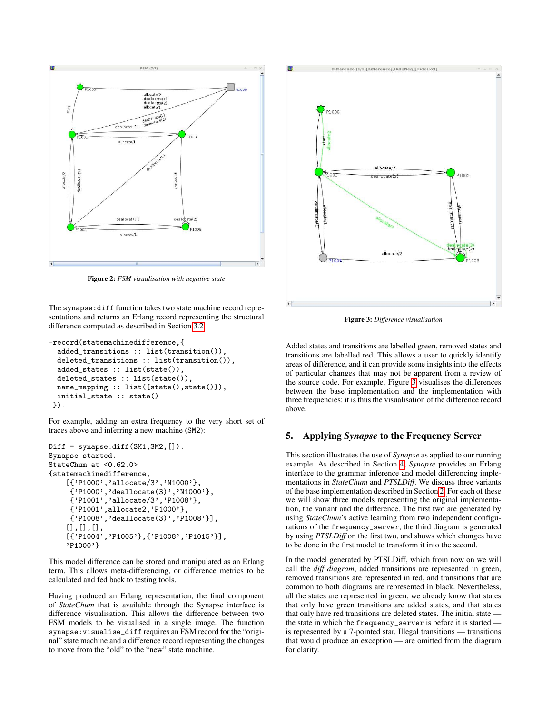<span id="page-7-0"></span>

Figure 2: *FSM visualisation with negative state*

<span id="page-7-1"></span>The synapse:diff function takes two state machine record representations and returns an Erlang record representing the structural difference computed as described in Section [3.2.](#page-3-1)

```
-record(statemachinedifference,{
 added_transitions :: list(transition()),
 deleted_transitions :: list(transition()),
 added_states :: list(state()),
 deleted_states :: list(state()),
 name_mapping :: list({state(),state()}),
 initial_state :: state()
}).
```
For example, adding an extra frequency to the very short set of traces above and inferring a new machine (SM2):

```
Diff = synapse:diff(SM1, SM2, []).Synapse started.
StateChum at <0.62.0>
{statemachinedifference,
    [{'P1000','allocate/3','N1000'},
     {'P1000','deallocate(3)','N1000'},
     {'P1001','allocate/3','P1008'},
     {'P1001',allocate2,'P1000'},
     {'P1008','deallocate(3)','P1008'}],
    [1,1],[{'P1004','P1005'},{'P1008','P1015'}],
    'P1000'}
```
This model difference can be stored and manipulated as an Erlang term. This allows meta-differencing, or difference metrics to be calculated and fed back to testing tools.

Having produced an Erlang representation, the final component of *StateChum* that is available through the Synapse interface is difference visualisation. This allows the difference between two FSM models to be visualised in a single image. The function synapse:visualise\_diff requires an FSM record for the "original" state machine and a difference record representing the changes to move from the "old" to the "new" state machine.



Figure 3: *Difference visualisation*

Added states and transitions are labelled green, removed states and transitions are labelled red. This allows a user to quickly identify areas of difference, and it can provide some insights into the effects of particular changes that may not be apparent from a review of the source code. For example, Figure [3](#page-6-2) visualises the differences between the base implementation and the implementation with three frequencies: it is thus the visualisation of the difference record above.

#### 5. Applying *Synapse* to the Frequency Server

This section illustrates the use of *Synapse* as applied to our running example. As described in Section [4,](#page-4-0) *Synapse* provides an Erlang interface to the grammar inference and model differencing implementations in *StateChum* and *PTSLDiff*. We discuss three variants of the base implementation described in Section [2.](#page-1-0) For each of these we will show three models representing the original implementation, the variant and the difference. The first two are generated by using *StateChum*'s active learning from two independent configurations of the frequency\_server; the third diagram is generated by using *PTSLDiff* on the first two, and shows which changes have to be done in the first model to transform it into the second.

In the model generated by PTSLDiff, which from now on we will call the *diff diagram*, added transitions are represented in green, removed transitions are represented in red, and transitions that are common to both diagrams are represented in black. Nevertheless, all the states are represented in green, we already know that states that only have green transitions are added states, and that states that only have red transitions are deleted states. The initial state the state in which the frequency\_server is before it is started is represented by a 7-pointed star. Illegal transitions — transitions that would produce an exception — are omitted from the diagram for clarity.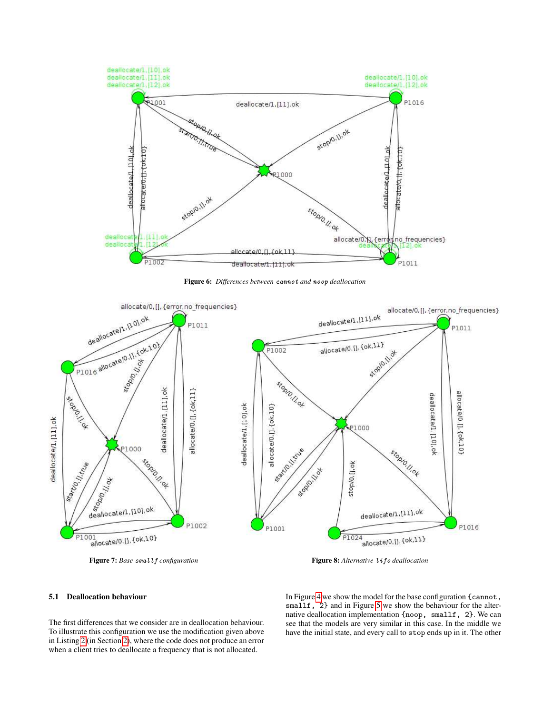<span id="page-8-0"></span>

Figure 6: *Differences between* cannot *and* noop *deallocation*

<span id="page-8-1"></span>

Figure 7: *Base* smallf configuration **Figure 8:** Alternative lifo deallocation

#### 5.1 Deallocation behaviour

The first differences that we consider are in deallocation behaviour. To illustrate this configuration we use the modification given above in Listing [2](#page-2-1) (in Section [2\)](#page-1-0), where the code does not produce an error when a client tries to deallocate a frequency that is not allocated.

In Figure [4](#page-9-0) we show the model for the base configuration {cannot, smallf, 2} and in Figure [5](#page-9-1) we show the behaviour for the alternative deallocation implementation {noop, smallf, 2}. We can see that the models are very similar in this case. In the middle we have the initial state, and every call to stop ends up in it. The other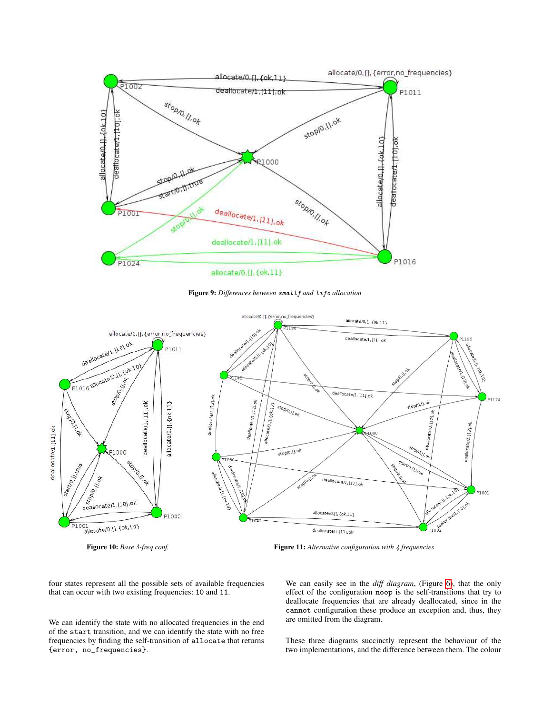<span id="page-9-2"></span>

<span id="page-9-1"></span>Figure 9: *Differences between* smallf *and* lifo *allocation*

<span id="page-9-0"></span>



four states represent all the possible sets of available frequencies that can occur with two existing frequencies: 10 and 11.

We can identify the state with no allocated frequencies in the end of the start transition, and we can identify the state with no free frequencies by finding the self-transition of allocate that returns {error, no\_frequencies}.

We can easily see in the *diff diagram*, (Figure [6\)](#page-7-0), that the only effect of the configuration noop is the self-transitions that try to deallocate frequencies that are already deallocated, since in the cannot configuration these produce an exception and, thus, they are omitted from the diagram.

These three diagrams succinctly represent the behaviour of the two implementations, and the difference between them. The colour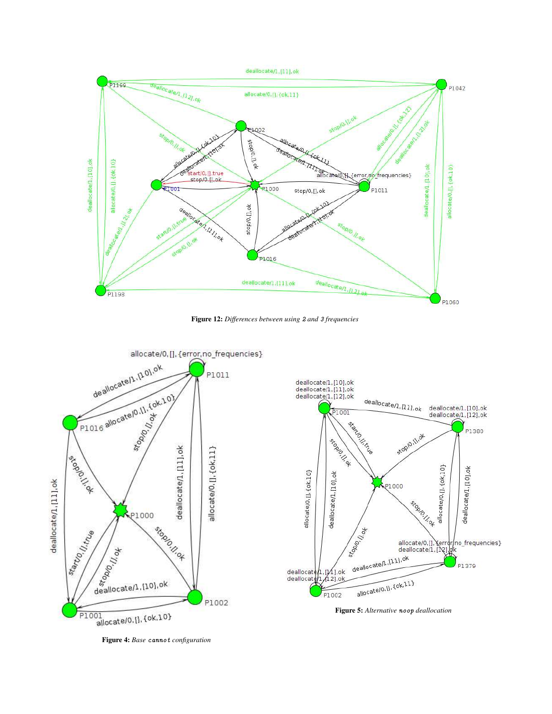

<span id="page-10-1"></span>Figure 12: *Differences between using* 2 *and* 3 *frequencies*



<span id="page-10-2"></span>

Figure 5: *Alternative* noop *deallocation*

<span id="page-10-0"></span>Figure 4: *Base* cannot *configuration*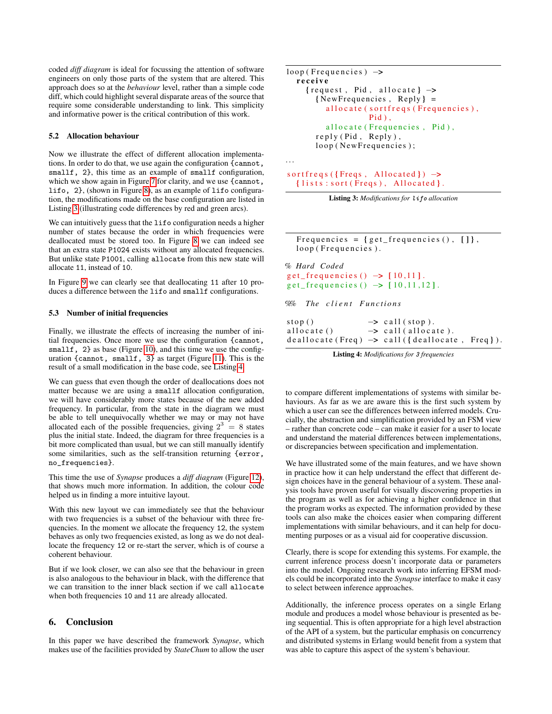coded *diff diagram* is ideal for focussing the attention of software engineers on only those parts of the system that are altered. This approach does so at the *behaviour* level, rather than a simple code diff, which could highlight several disparate areas of the source that require some considerable understanding to link. This simplicity and informative power is the critical contribution of this work.

#### <span id="page-11-12"></span>5.2 Allocation behaviour

<span id="page-11-8"></span>Now we illustrate the effect of different allocation implementations. In order to do that, we use again the configuration {cannot, smallf, 2}, this time as an example of smallf configuration, which we show again in Figure [7](#page-7-1) for clarity, and we use {cannot, lifo, 2}, (shown in Figure [8\)](#page-7-1), as an example of lifo configuration, the modifications made on the base configuration are listed in Listing [3](#page-10-1) (illustrating code differences by red and green arcs).

<span id="page-11-18"></span><span id="page-11-9"></span>We can intuitively guess that the lifo configuration needs a higher number of states because the order in which frequencies were deallocated must be stored too. In Figure [8](#page-7-1) we can indeed see that an extra state P1024 exists without any allocated frequencies. But unlike state P1001, calling allocate from this new state will allocate 11, instead of 10.

<span id="page-11-14"></span><span id="page-11-5"></span>In Figure [9](#page-8-0) we can clearly see that deallocating 11 after 10 produces a difference between the lifo and smallf configurations.

#### <span id="page-11-10"></span>5.3 Number of initial frequencies

<span id="page-11-7"></span>Finally, we illustrate the effects of increasing the number of initial frequencies. Once more we use the configuration {cannot, smallf, 2} as base (Figure [10\)](#page-8-1), and this time we use the configuration {cannot, smallf, 3} as target (Figure [11\)](#page-8-1). This is the result of a small modification in the base code, see Listing [4.](#page-10-2)

<span id="page-11-11"></span><span id="page-11-1"></span><span id="page-11-0"></span>We can guess that even though the order of deallocations does not matter because we are using a smallf allocation configuration, we will have considerably more states because of the new added frequency. In particular, from the state in the diagram we must be able to tell unequivocally whether we may or may not have allocated each of the possible frequencies, giving  $2^3 = 8$  states plus the initial state. Indeed, the diagram for three frequencies is a bit more complicated than usual, but we can still manually identify some similarities, such as the self-transition returning {error, no\_frequencies}.

<span id="page-11-13"></span><span id="page-11-2"></span>This time the use of *Synapse* produces a *diff diagram* (Figure [12\)](#page-9-2), that shows much more information. In addition, the colour code helped us in finding a more intuitive layout.

<span id="page-11-6"></span>With this new layout we can immediately see that the behaviour with two frequencies is a subset of the behaviour with three frequencies. In the moment we allocate the frequency 12, the system behaves as only two frequencies existed, as long as we do not deallocate the frequency 12 or re-start the server, which is of course a coherent behaviour.

<span id="page-11-3"></span>But if we look closer, we can also see that the behaviour in green is also analogous to the behaviour in black, with the difference that we can transition to the inner black section if we call allocate when both frequencies 10 and 11 are already allocated.

#### <span id="page-11-4"></span>6. Conclusion

<span id="page-11-16"></span>In this paper we have described the framework *Synapse*, which makes use of the facilities provided by *StateChum* to allow the user

```
loop(Frequencies) \rightarrowreceive
    {request, Pid, allocate} \rightarrow\{NewFrequencies, Reply\} =allocate (sortfreqs (Frequencies),
                    Pid),
         allocate (Frequencies, Pid),
       reply (Pid, Reply),
       loop (New Frequencies);
```
<span id="page-11-15"></span>. . .

```
sortfreqs ({Freqs, Allocated}) \rightarrow{lists: sort(Freqs), Allocated}.
```


Frequencies =  $\{ get\_frequency() , [ ] \}$ , loop (Frequencies).

```
% Hard Coded
get_frequencies() \rightarrow [10,11].get_frequencies() \rightarrow [10, 11, 12].
```
 $%$  The client Functions

| stop()      | $\rightarrow$ call (stop).                      |  |
|-------------|-------------------------------------------------|--|
| allocate () | $\rightarrow$ call(allocate).                   |  |
|             | deallocate (Freq) -> call ({deallocate, Freq}). |  |

Listing 4: *Modifications for* 3 *frequencies*

to compare different implementations of systems with similar behaviours. As far as we are aware this is the first such system by which a user can see the differences between inferred models. Crucially, the abstraction and simplification provided by an FSM view – rather than concrete code – can make it easier for a user to locate and understand the material differences between implementations, or discrepancies between specification and implementation.

We have illustrated some of the main features, and we have shown in practice how it can help understand the effect that different design choices have in the general behaviour of a system. These analysis tools have proven useful for visually discovering properties in the program as well as for achieving a higher confidence in that the program works as expected. The information provided by these tools can also make the choices easier when comparing different implementations with similar behaviours, and it can help for documenting purposes or as a visual aid for cooperative discussion.

Clearly, there is scope for extending this systems. For example, the current inference process doesn't incorporate data or parameters into the model. Ongoing research work into inferring EFSM models could be incorporated into the *Synapse* interface to make it easy to select between inference approaches.

Additionally, the inference process operates on a single Erlang module and produces a model whose behaviour is presented as being sequential. This is often appropriate for a high level abstraction of the API of a system, but the particular emphasis on concurrency and distributed systems in Erlang would benefit from a system that was able to capture this aspect of the system's behaviour.